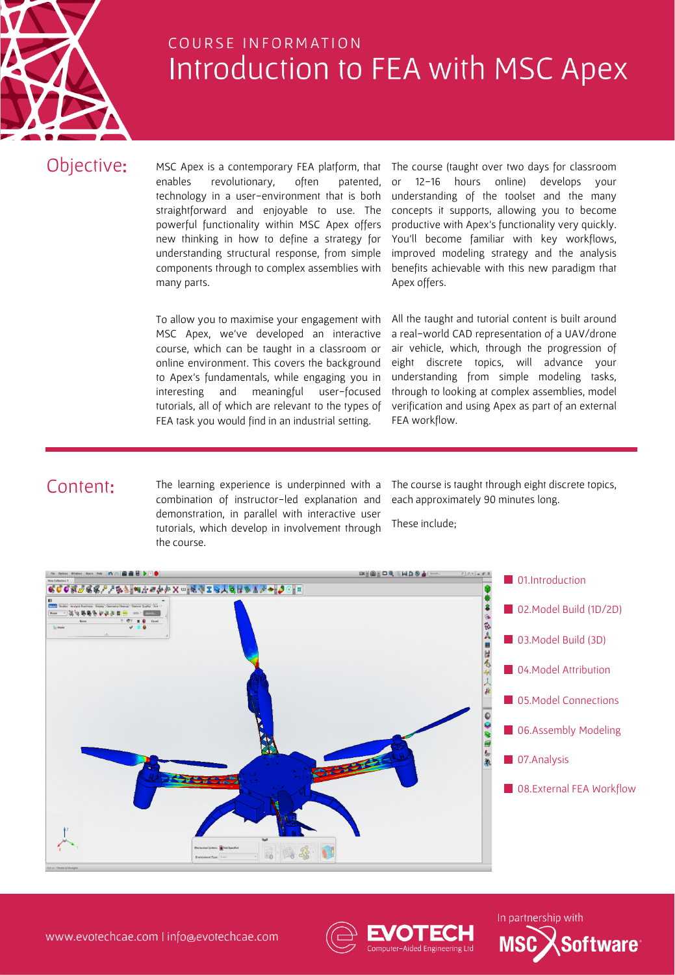

# COURSE INFORMATION Introduction to FEA with MSC Apex

Objective: MSC Apex is a contemporary FEA platform, that The course (taught over two days for classroom enables revolutionary, often patented, technology in a user-environment that is both straightforward and enjoyable to use. The powerful functionality within MSC Apex offers new thinking in how to define a strategy for understanding structural response, from simple components through to complex assemblies with many parts.

> To allow you to maximise your engagement with MSC Apex, we've developed an interactive course, which can be taught in a classroom or online environment. This covers the background to Apex's fundamentals, while engaging you in interesting and meaningful user-focused tutorials, all of which are relevant to the types of FEA task you would find in an industrial setting.

or 12-16 hours online) develops your understanding of the toolset and the many concepts it supports, allowing you to become productive with Apex's functionality very quickly. You'll become familiar with key workflows, improved modeling strategy and the analysis benefits achievable with this new paradigm that Apex offers.

All the taught and tutorial content is built around a real-world CAD representation of a UAV/drone air vehicle, which, through the progression of eight discrete topics, will advance your understanding from simple modeling tasks, through to looking at complex assemblies, model verification and using Apex as part of an external FEA workflow.

### Content:

The learning experience is underpinned with a combination of instructor-led explanation and demonstration, in parallel with interactive user tutorials, which develop in involvement through the course.

The course is taught through eight discrete topics, each approximately 90 minutes long.

These include;





In partnership with **Software**